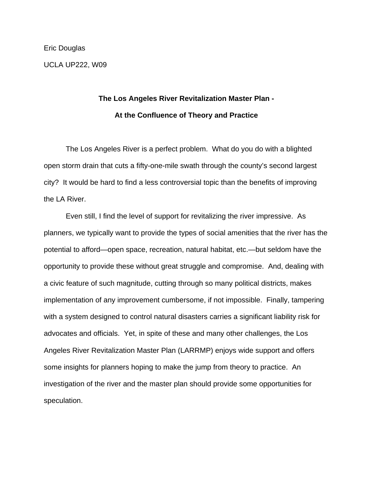Eric Douglas UCLA UP222, W09

## **The Los Angeles River Revitalization Master Plan - At the Confluence of Theory and Practice**

 The Los Angeles River is a perfect problem. What do you do with a blighted open storm drain that cuts a fifty-one-mile swath through the county's second largest city? It would be hard to find a less controversial topic than the benefits of improving the LA River.

 Even still, I find the level of support for revitalizing the river impressive. As planners, we typically want to provide the types of social amenities that the river has the potential to afford—open space, recreation, natural habitat, etc.—but seldom have the opportunity to provide these without great struggle and compromise. And, dealing with a civic feature of such magnitude, cutting through so many political districts, makes implementation of any improvement cumbersome, if not impossible. Finally, tampering with a system designed to control natural disasters carries a significant liability risk for advocates and officials. Yet, in spite of these and many other challenges, the Los Angeles River Revitalization Master Plan (LARRMP) enjoys wide support and offers some insights for planners hoping to make the jump from theory to practice. An investigation of the river and the master plan should provide some opportunities for speculation.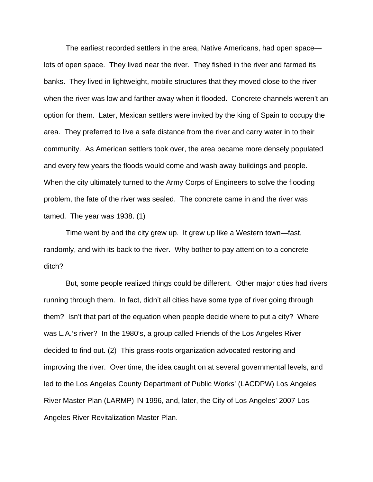The earliest recorded settlers in the area, Native Americans, had open space lots of open space. They lived near the river. They fished in the river and farmed its banks. They lived in lightweight, mobile structures that they moved close to the river when the river was low and farther away when it flooded. Concrete channels weren't an option for them. Later, Mexican settlers were invited by the king of Spain to occupy the area. They preferred to live a safe distance from the river and carry water in to their community. As American settlers took over, the area became more densely populated and every few years the floods would come and wash away buildings and people. When the city ultimately turned to the Army Corps of Engineers to solve the flooding problem, the fate of the river was sealed. The concrete came in and the river was tamed. The year was 1938. (1)

 Time went by and the city grew up. It grew up like a Western town—fast, randomly, and with its back to the river. Why bother to pay attention to a concrete ditch?

 But, some people realized things could be different. Other major cities had rivers running through them. In fact, didn't all cities have some type of river going through them? Isn't that part of the equation when people decide where to put a city? Where was L.A.'s river? In the 1980's, a group called Friends of the Los Angeles River decided to find out. (2) This grass-roots organization advocated restoring and improving the river. Over time, the idea caught on at several governmental levels, and led to the Los Angeles County Department of Public Works' (LACDPW) Los Angeles River Master Plan (LARMP) IN 1996, and, later, the City of Los Angeles' 2007 Los Angeles River Revitalization Master Plan.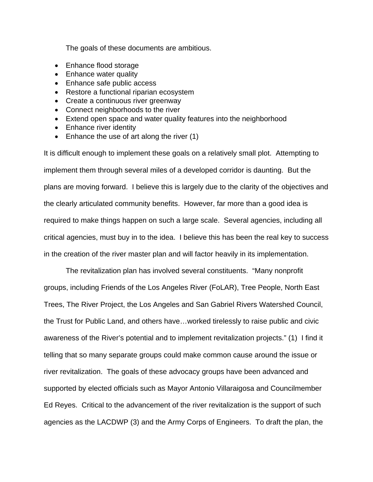The goals of these documents are ambitious.

- Enhance flood storage
- Enhance water quality
- Enhance safe public access
- Restore a functional riparian ecosystem
- Create a continuous river greenway
- Connect neighborhoods to the river
- Extend open space and water quality features into the neighborhood
- Enhance river identity
- Enhance the use of art along the river (1)

It is difficult enough to implement these goals on a relatively small plot. Attempting to implement them through several miles of a developed corridor is daunting. But the plans are moving forward. I believe this is largely due to the clarity of the objectives and the clearly articulated community benefits. However, far more than a good idea is required to make things happen on such a large scale. Several agencies, including all critical agencies, must buy in to the idea. I believe this has been the real key to success in the creation of the river master plan and will factor heavily in its implementation.

 The revitalization plan has involved several constituents. "Many nonprofit groups, including Friends of the Los Angeles River (FoLAR), Tree People, North East Trees, The River Project, the Los Angeles and San Gabriel Rivers Watershed Council, the Trust for Public Land, and others have…worked tirelessly to raise public and civic awareness of the River's potential and to implement revitalization projects." (1) I find it telling that so many separate groups could make common cause around the issue or river revitalization. The goals of these advocacy groups have been advanced and supported by elected officials such as Mayor Antonio Villaraigosa and Councilmember Ed Reyes. Critical to the advancement of the river revitalization is the support of such agencies as the LACDWP (3) and the Army Corps of Engineers. To draft the plan, the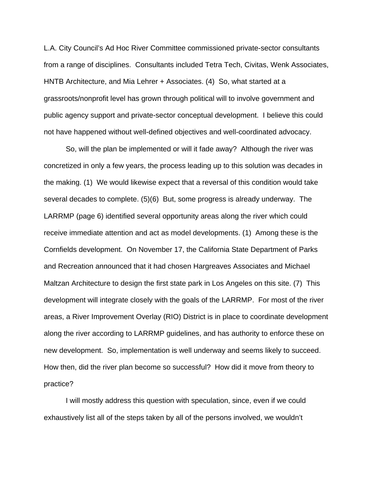L.A. City Council's Ad Hoc River Committee commissioned private-sector consultants from a range of disciplines. Consultants included Tetra Tech, Civitas, Wenk Associates, HNTB Architecture, and Mia Lehrer + Associates. (4) So, what started at a grassroots/nonprofit level has grown through political will to involve government and public agency support and private-sector conceptual development. I believe this could not have happened without well-defined objectives and well-coordinated advocacy.

 So, will the plan be implemented or will it fade away? Although the river was concretized in only a few years, the process leading up to this solution was decades in the making. (1) We would likewise expect that a reversal of this condition would take several decades to complete. (5)(6) But, some progress is already underway. The LARRMP (page 6) identified several opportunity areas along the river which could receive immediate attention and act as model developments. (1) Among these is the Cornfields development. On November 17, the California State Department of Parks and Recreation announced that it had chosen Hargreaves Associates and Michael Maltzan Architecture to design the first state park in Los Angeles on this site. (7) This development will integrate closely with the goals of the LARRMP. For most of the river areas, a River Improvement Overlay (RIO) District is in place to coordinate development along the river according to LARRMP guidelines, and has authority to enforce these on new development. So, implementation is well underway and seems likely to succeed. How then, did the river plan become so successful? How did it move from theory to practice?

 I will mostly address this question with speculation, since, even if we could exhaustively list all of the steps taken by all of the persons involved, we wouldn't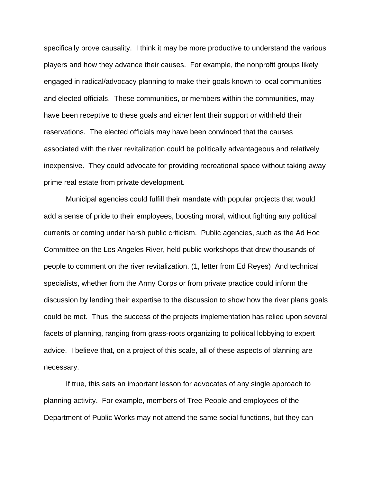specifically prove causality. I think it may be more productive to understand the various players and how they advance their causes. For example, the nonprofit groups likely engaged in radical/advocacy planning to make their goals known to local communities and elected officials. These communities, or members within the communities, may have been receptive to these goals and either lent their support or withheld their reservations. The elected officials may have been convinced that the causes associated with the river revitalization could be politically advantageous and relatively inexpensive. They could advocate for providing recreational space without taking away prime real estate from private development.

 Municipal agencies could fulfill their mandate with popular projects that would add a sense of pride to their employees, boosting moral, without fighting any political currents or coming under harsh public criticism. Public agencies, such as the Ad Hoc Committee on the Los Angeles River, held public workshops that drew thousands of people to comment on the river revitalization. (1, letter from Ed Reyes) And technical specialists, whether from the Army Corps or from private practice could inform the discussion by lending their expertise to the discussion to show how the river plans goals could be met. Thus, the success of the projects implementation has relied upon several facets of planning, ranging from grass-roots organizing to political lobbying to expert advice. I believe that, on a project of this scale, all of these aspects of planning are necessary.

 If true, this sets an important lesson for advocates of any single approach to planning activity. For example, members of Tree People and employees of the Department of Public Works may not attend the same social functions, but they can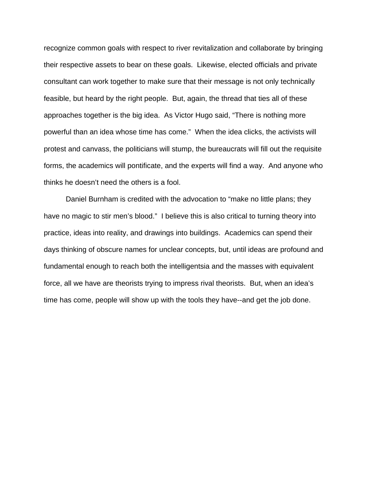recognize common goals with respect to river revitalization and collaborate by bringing their respective assets to bear on these goals. Likewise, elected officials and private consultant can work together to make sure that their message is not only technically feasible, but heard by the right people. But, again, the thread that ties all of these approaches together is the big idea. As Victor Hugo said, "There is nothing more powerful than an idea whose time has come." When the idea clicks, the activists will protest and canvass, the politicians will stump, the bureaucrats will fill out the requisite forms, the academics will pontificate, and the experts will find a way. And anyone who thinks he doesn't need the others is a fool.

 Daniel Burnham is credited with the advocation to "make no little plans; they have no magic to stir men's blood." I believe this is also critical to turning theory into practice, ideas into reality, and drawings into buildings. Academics can spend their days thinking of obscure names for unclear concepts, but, until ideas are profound and fundamental enough to reach both the intelligentsia and the masses with equivalent force, all we have are theorists trying to impress rival theorists. But, when an idea's time has come, people will show up with the tools they have--and get the job done.